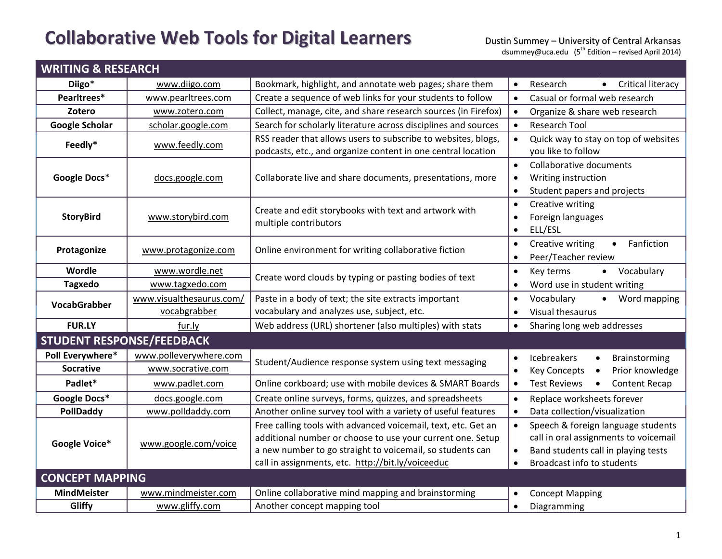## **Collaborative Web Tools for Digital Learners**

| <b>WRITING &amp; RESEARCH</b>    |                          |                                                                                                                                                                                                                                               |                                                                                                                                                                                         |  |  |
|----------------------------------|--------------------------|-----------------------------------------------------------------------------------------------------------------------------------------------------------------------------------------------------------------------------------------------|-----------------------------------------------------------------------------------------------------------------------------------------------------------------------------------------|--|--|
| Diigo*                           | www.diigo.com            | Bookmark, highlight, and annotate web pages; share them                                                                                                                                                                                       | <b>Critical literacy</b><br>Research                                                                                                                                                    |  |  |
| Pearltrees*                      | www.pearltrees.com       | Create a sequence of web links for your students to follow                                                                                                                                                                                    | Casual or formal web research<br>$\bullet$                                                                                                                                              |  |  |
| Zotero                           | www.zotero.com           | Collect, manage, cite, and share research sources (in Firefox)                                                                                                                                                                                | Organize & share web research<br>$\bullet$                                                                                                                                              |  |  |
| <b>Google Scholar</b>            | scholar.google.com       | Search for scholarly literature across disciplines and sources                                                                                                                                                                                | <b>Research Tool</b>                                                                                                                                                                    |  |  |
| Feedly*                          | www.feedly.com           | RSS reader that allows users to subscribe to websites, blogs,                                                                                                                                                                                 | Quick way to stay on top of websites                                                                                                                                                    |  |  |
|                                  |                          | podcasts, etc., and organize content in one central location                                                                                                                                                                                  | you like to follow                                                                                                                                                                      |  |  |
| Google Docs*                     | docs.google.com          | Collaborate live and share documents, presentations, more                                                                                                                                                                                     | Collaborative documents<br>$\bullet$<br>Writing instruction<br>$\bullet$<br>Student papers and projects<br>$\bullet$                                                                    |  |  |
| <b>StoryBird</b>                 | www.storybird.com        | Create and edit storybooks with text and artwork with<br>multiple contributors                                                                                                                                                                | Creative writing<br>$\bullet$<br>Foreign languages<br>$\bullet$<br>ELL/ESL<br>$\bullet$                                                                                                 |  |  |
| Protagonize                      | www.protagonize.com      | Online environment for writing collaborative fiction                                                                                                                                                                                          | Fanfiction<br>Creative writing<br>$\bullet$<br>$\bullet$<br>Peer/Teacher review<br>$\bullet$                                                                                            |  |  |
| Wordle                           | www.wordle.net           | Create word clouds by typing or pasting bodies of text                                                                                                                                                                                        | Vocabulary<br>Key terms<br>$\bullet$<br>$\bullet$                                                                                                                                       |  |  |
| <b>Tagxedo</b>                   | www.tagxedo.com          |                                                                                                                                                                                                                                               | Word use in student writing<br>$\bullet$                                                                                                                                                |  |  |
| <b>VocabGrabber</b>              | www.visualthesaurus.com/ | Paste in a body of text; the site extracts important                                                                                                                                                                                          | Word mapping<br>Vocabulary<br>$\bullet$<br>$\bullet$                                                                                                                                    |  |  |
|                                  | vocabgrabber             | vocabulary and analyzes use, subject, etc.                                                                                                                                                                                                    | Visual thesaurus<br>$\bullet$                                                                                                                                                           |  |  |
| <b>FUR.LY</b>                    | fur.ly                   | Web address (URL) shortener (also multiples) with stats                                                                                                                                                                                       | Sharing long web addresses<br>$\bullet$                                                                                                                                                 |  |  |
| <b>STUDENT RESPONSE/FEEDBACK</b> |                          |                                                                                                                                                                                                                                               |                                                                                                                                                                                         |  |  |
| Poll Everywhere*                 | www.polleverywhere.com   | Student/Audience response system using text messaging                                                                                                                                                                                         | Icebreakers<br>Brainstorming<br>$\bullet$<br>$\bullet$                                                                                                                                  |  |  |
| <b>Socrative</b>                 | www.socrative.com        |                                                                                                                                                                                                                                               | Prior knowledge<br><b>Key Concepts</b><br>$\bullet$                                                                                                                                     |  |  |
| Padlet*                          | www.padlet.com           | Online corkboard; use with mobile devices & SMART Boards                                                                                                                                                                                      | <b>Test Reviews</b><br><b>Content Recap</b><br>$\bullet$                                                                                                                                |  |  |
| Google Docs*                     | docs.google.com          | Create online surveys, forms, quizzes, and spreadsheets                                                                                                                                                                                       | Replace worksheets forever<br>$\bullet$                                                                                                                                                 |  |  |
| PollDaddy                        | www.polldaddy.com        | Another online survey tool with a variety of useful features                                                                                                                                                                                  | Data collection/visualization<br>$\bullet$                                                                                                                                              |  |  |
| Google Voice*                    | www.google.com/voice     | Free calling tools with advanced voicemail, text, etc. Get an<br>additional number or choose to use your current one. Setup<br>a new number to go straight to voicemail, so students can<br>call in assignments, etc. http://bit.ly/voiceeduc | Speech & foreign language students<br>$\bullet$<br>call in oral assignments to voicemail<br>Band students call in playing tests<br>$\bullet$<br>Broadcast info to students<br>$\bullet$ |  |  |
| <b>CONCEPT MAPPING</b>           |                          |                                                                                                                                                                                                                                               |                                                                                                                                                                                         |  |  |
| <b>MindMeister</b>               | www.mindmeister.com      | Online collaborative mind mapping and brainstorming                                                                                                                                                                                           | <b>Concept Mapping</b>                                                                                                                                                                  |  |  |
| Gliffy                           | www.gliffy.com           | Another concept mapping tool                                                                                                                                                                                                                  | Diagramming<br>$\bullet$                                                                                                                                                                |  |  |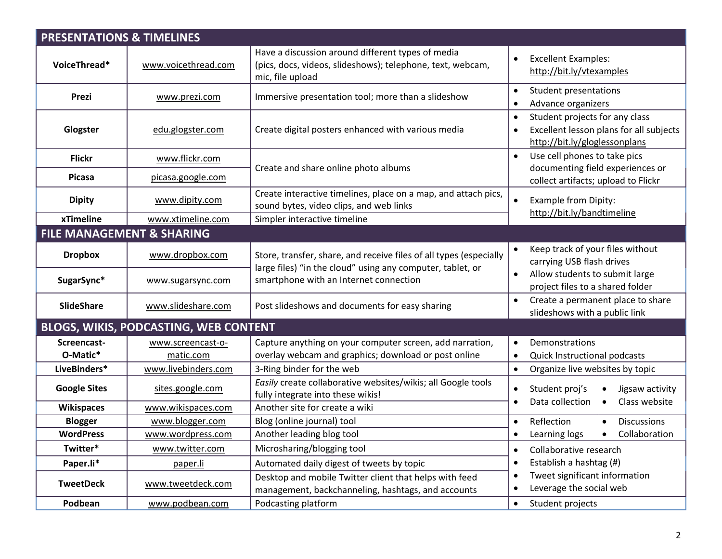| <b>PRESENTATIONS &amp; TIMELINES</b> |                                       |                                                                                                                                     |                                                                                                                                      |  |  |  |
|--------------------------------------|---------------------------------------|-------------------------------------------------------------------------------------------------------------------------------------|--------------------------------------------------------------------------------------------------------------------------------------|--|--|--|
| VoiceThread*                         | www.voicethread.com                   | Have a discussion around different types of media<br>(pics, docs, videos, slideshows); telephone, text, webcam,<br>mic, file upload | <b>Excellent Examples:</b><br>$\bullet$<br>http://bit.ly/vtexamples                                                                  |  |  |  |
| Prezi                                | www.prezi.com                         | Immersive presentation tool; more than a slideshow                                                                                  | <b>Student presentations</b><br>$\bullet$<br>Advance organizers<br>$\bullet$                                                         |  |  |  |
| Glogster                             | edu.glogster.com                      | Create digital posters enhanced with various media                                                                                  | Student projects for any class<br>$\bullet$<br>Excellent lesson plans for all subjects<br>$\bullet$<br>http://bit.ly/gloglessonplans |  |  |  |
| <b>Flickr</b>                        | www.flickr.com                        |                                                                                                                                     | Use cell phones to take pics<br>$\bullet$                                                                                            |  |  |  |
| Picasa                               | picasa.google.com                     | Create and share online photo albums                                                                                                | documenting field experiences or<br>collect artifacts; upload to Flickr                                                              |  |  |  |
| <b>Dipity</b>                        | www.dipity.com                        | Create interactive timelines, place on a map, and attach pics,<br>sound bytes, video clips, and web links                           | Example from Dipity:<br>$\bullet$<br>http://bit.ly/bandtimeline                                                                      |  |  |  |
| xTimeline                            | www.xtimeline.com                     | Simpler interactive timeline                                                                                                        |                                                                                                                                      |  |  |  |
|                                      | <b>FILE MANAGEMENT &amp; SHARING</b>  |                                                                                                                                     |                                                                                                                                      |  |  |  |
| <b>Dropbox</b>                       | www.dropbox.com                       | Store, transfer, share, and receive files of all types (especially<br>large files) "in the cloud" using any computer, tablet, or    | Keep track of your files without<br>$\bullet$<br>carrying USB flash drives                                                           |  |  |  |
| SugarSync*                           | www.sugarsync.com                     | smartphone with an Internet connection                                                                                              | Allow students to submit large<br>$\bullet$<br>project files to a shared folder                                                      |  |  |  |
| <b>SlideShare</b>                    | www.slideshare.com                    | Post slideshows and documents for easy sharing                                                                                      | Create a permanent place to share<br>$\bullet$<br>slideshows with a public link                                                      |  |  |  |
|                                      | BLOGS, WIKIS, PODCASTING, WEB CONTENT |                                                                                                                                     |                                                                                                                                      |  |  |  |
| Screencast-<br>O-Matic*              | www.screencast-o-<br>matic.com        | Capture anything on your computer screen, add narration,<br>overlay webcam and graphics; download or post online                    | Demonstrations<br>$\bullet$<br>Quick Instructional podcasts<br>$\bullet$                                                             |  |  |  |
| LiveBinders*                         | www.livebinders.com                   | 3-Ring binder for the web                                                                                                           | Organize live websites by topic<br>$\bullet$                                                                                         |  |  |  |
| <b>Google Sites</b>                  | sites.google.com                      | Easily create collaborative websites/wikis; all Google tools<br>fully integrate into these wikis!                                   | Student proj's<br>Jigsaw activity<br>$\bullet$<br>Class website                                                                      |  |  |  |
| <b>Wikispaces</b>                    | www.wikispaces.com                    | Another site for create a wiki                                                                                                      | Data collection<br>$\bullet$<br>$\bullet$                                                                                            |  |  |  |
| <b>Blogger</b>                       | www.blogger.com                       | Blog (online journal) tool                                                                                                          | Reflection<br><b>Discussions</b><br>$\bullet$                                                                                        |  |  |  |
| <b>WordPress</b>                     | www.wordpress.com                     | Another leading blog tool                                                                                                           | Collaboration<br>Learning logs<br>$\bullet$                                                                                          |  |  |  |
| Twitter*                             | www.twitter.com                       | Microsharing/blogging tool                                                                                                          | Collaborative research<br>$\bullet$                                                                                                  |  |  |  |
| Paper.li*                            | paper.li                              | Automated daily digest of tweets by topic                                                                                           | Establish a hashtag (#)<br>$\bullet$                                                                                                 |  |  |  |
| <b>TweetDeck</b>                     | www.tweetdeck.com                     | Desktop and mobile Twitter client that helps with feed<br>management, backchanneling, hashtags, and accounts                        | Tweet significant information<br>$\bullet$<br>Leverage the social web                                                                |  |  |  |
| Podbean                              | www.podbean.com                       | Podcasting platform                                                                                                                 | Student projects<br>$\bullet$                                                                                                        |  |  |  |